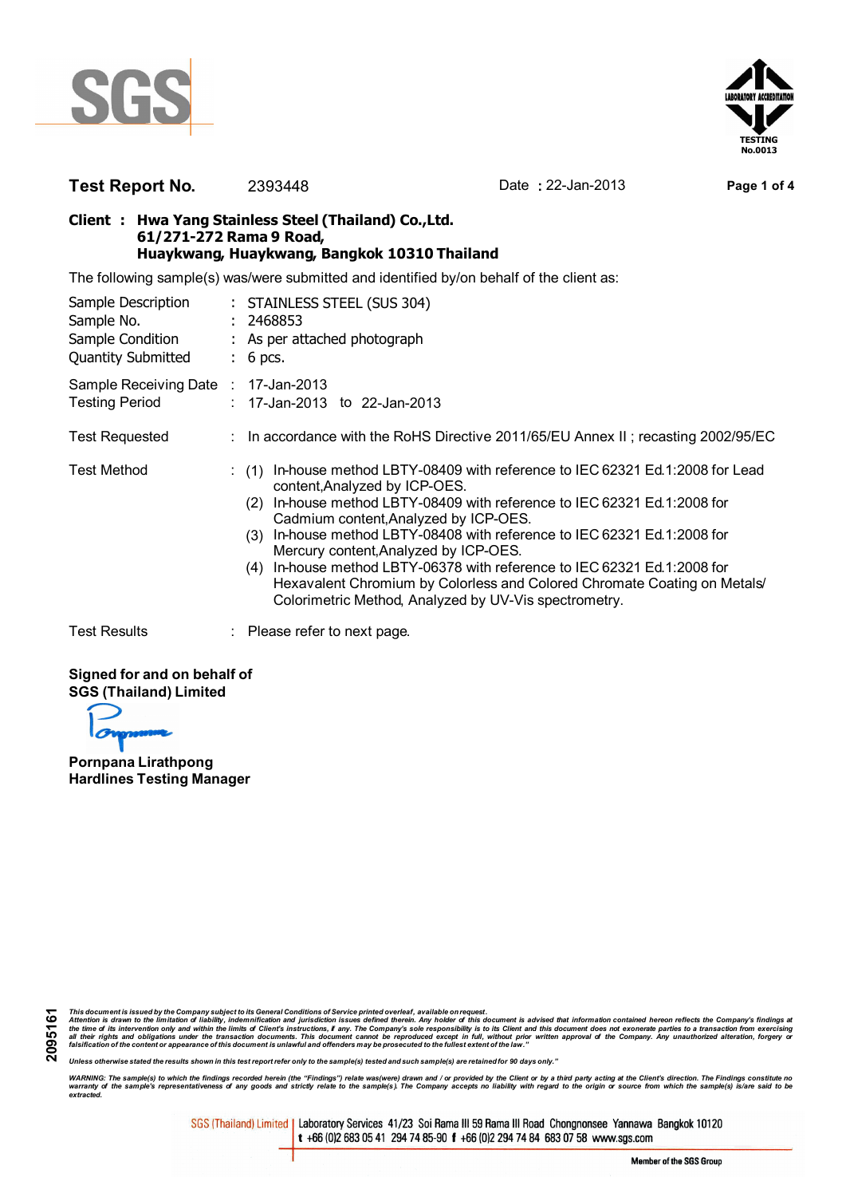



## **Test Report No.** 2393448 Date **:** 22-Jan-2013 **Page 1 of 4**

## **Client : Hwa Yang Stainless Steel (Thailand) Co.,Ltd. 61/271-272 Rama 9 Road, Huaykwang, Huaykwang, Bangkok 10310 Thailand**

The following sample(s) was/were submitted and identified by/on behalf of the client as:

| Sample Description<br>Sample No.<br>Sample Condition<br><b>Quantity Submitted</b> | : STAINLESS STEEL (SUS 304)<br>: 2468853<br>: As per attached photograph<br>$: 6$ pcs.                                                                                                                                                                                                                                                                                                                                                                                                                                                                                               |
|-----------------------------------------------------------------------------------|--------------------------------------------------------------------------------------------------------------------------------------------------------------------------------------------------------------------------------------------------------------------------------------------------------------------------------------------------------------------------------------------------------------------------------------------------------------------------------------------------------------------------------------------------------------------------------------|
| Sample Receiving Date : 17-Jan-2013<br><b>Testing Period</b>                      | : 17-Jan-2013 to 22-Jan-2013                                                                                                                                                                                                                                                                                                                                                                                                                                                                                                                                                         |
| <b>Test Requested</b>                                                             | : In accordance with the RoHS Directive 2011/65/EU Annex II; recasting 2002/95/EC                                                                                                                                                                                                                                                                                                                                                                                                                                                                                                    |
| <b>Test Method</b>                                                                | In-house method LBTY-08409 with reference to IEC 62321 Ed.1:2008 for Lead<br>(1)<br>content, Analyzed by ICP-OES.<br>In-house method LBTY-08409 with reference to IEC 62321 Ed.1:2008 for<br>(2)<br>Cadmium content, Analyzed by ICP-OES.<br>In-house method LBTY-08408 with reference to IEC 62321 Ed.1:2008 for<br>(3)<br>Mercury content, Analyzed by ICP-OES.<br>In-house method LBTY-06378 with reference to IEC 62321 Ed.1:2008 for<br>(4)<br>Hexavalent Chromium by Colorless and Colored Chromate Coating on Metals<br>Colorimetric Method, Analyzed by UV-Vis spectrometry. |
| <b>Test Results</b>                                                               | $\therefore$ Please refer to next page.                                                                                                                                                                                                                                                                                                                                                                                                                                                                                                                                              |

## **Signed for and on behalf of SGS (Thailand) Limited**

**Pornpana Lirathpong Hardlines Testing Manager**

This document is issued by the Company subject to its General Conditions of Service printed overleaf, available on request.<br>Attention is drawn to the limitation of liability, indemnification and purisdiction issues defined

*Unless otherwise stated the results shown in this test report refer only to the sample(s) tested and such sample(s) are retained for 90 days only."*

WARNING: The sample(s) to which the findings recorded herein (the "Findings") relate was(were) drawn and / or provided by the Client or by a third party acting at the Client's direction. The Findings constitute no<br>warranty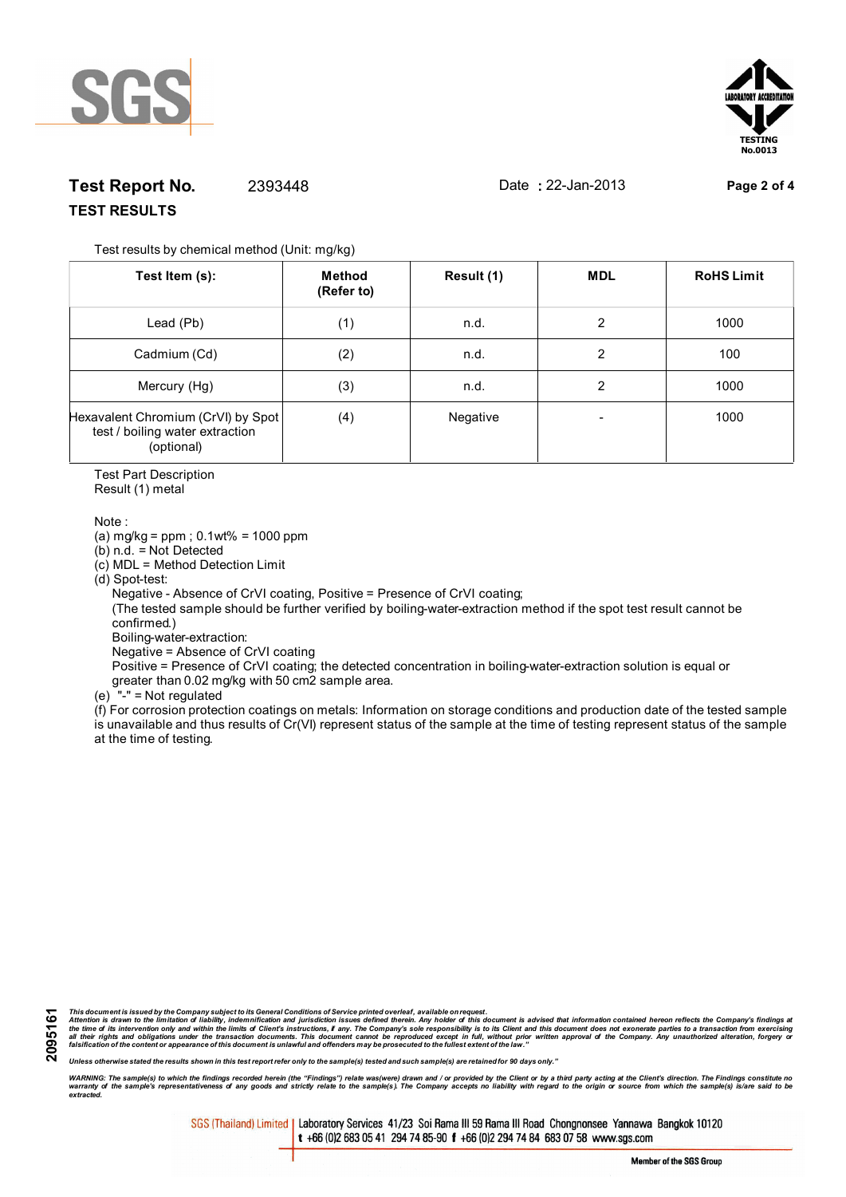



## **Test Report No.** 2393448 Date **:** 22-Jan-2013 **Page 2 of 4 TEST RESULTS**

Test results by chemical method (Unit: mg/kg)

| Test Item (s):                                                                      | Method<br>(Refer to) | Result (1) | <b>MDL</b> | <b>RoHS Limit</b> |
|-------------------------------------------------------------------------------------|----------------------|------------|------------|-------------------|
| Lead (Pb)                                                                           | (1)                  | n.d.       | 2          | 1000              |
| Cadmium (Cd)                                                                        | (2)                  | n.d.       | 2          | 100               |
| Mercury (Hg)                                                                        | (3)                  | n.d.       | 2          | 1000              |
| Hexavalent Chromium (CrVI) by Spot<br>test / boiling water extraction<br>(optional) | (4)                  | Negative   |            | 1000              |

Test Part Description

Result (1) metal

Note :

(a) mg/kg = ppm ; 0.1wt% = 1000 ppm

(b) n.d. = Not Detected

(c) MDL = Method Detection Limit

(d) Spot-test:

Negative - Absence of CrVI coating, Positive = Presence of CrVI coating;

 (The tested sample should be further verified by boiling-water-extraction method if the spot test result cannot be confirmed.)

Boiling-water-extraction:

Negative = Absence of CrVI coating

 Positive = Presence of CrVI coating; the detected concentration in boiling-water-extraction solution is equal or greater than 0.02 mg/kg with 50 cm2 sample area.

(e) "-" = Not regulated

 $\hat{f}$  For corrosion protection coatings on metals: Information on storage conditions and production date of the tested sample is unavailable and thus results of Cr(VI) represent status of the sample at the time of testing represent status of the sample at the time of testing.

**2095161**

This document is issued by the Company subject to its General Conditions of Service printed overleaf, available on request.<br>Attention is drawn to the limitation of liability, indemnification and purisdiction issues defined

*Unless otherwise stated the results shown in this test report refer only to the sample(s) tested and such sample(s) are retained for 90 days only."*

WARNING: The sample(s) to which the findings recorded herein (the "Findings") relate was(were) drawn and / or provided by the Client or by a third party acting at the Client's direction. The Findings constitute no<br>warranty *extracted.*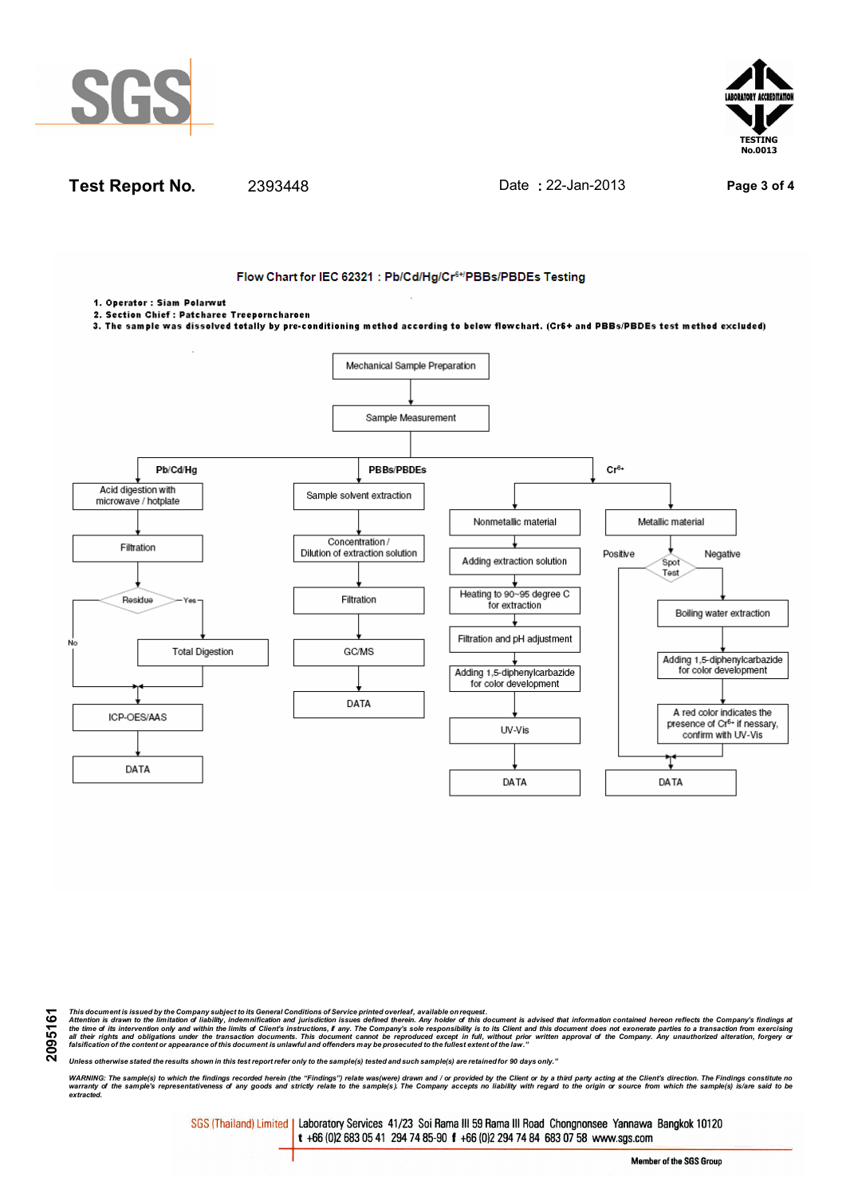





This document is issued by the Company subject to its General Conditions of Service printed overleaf, available on request.<br>Attention is drawn to the limitation of liability, indemnification and purisdiction issues defined

*Unless otherwise stated the results shown in this test report refer only to the sample(s) tested and such sample(s) are retained for 90 days only."*

WARNING: The sample(s) to which the findings recorded herein (the "Findings") relate was(were) drawn and / or provided by the Client or by a third party acting at the Client's direction. The Findings constitute no<br>warranty *extracted.*